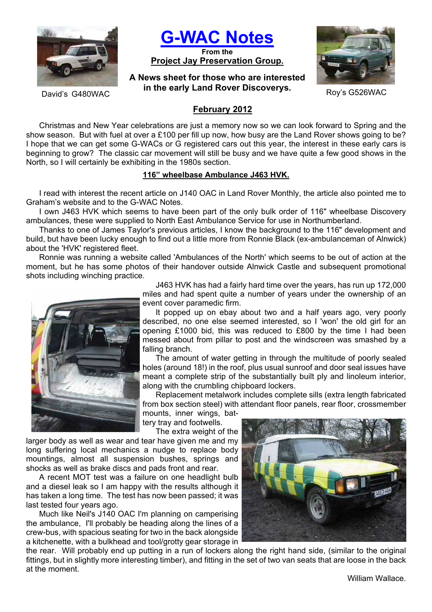

**G-WAC Notes**

**From the Project Jay Preservation Group.**

# **A News sheet for those who are interested in the early Land Rover Discoverys.** Roy's G526WAC Ravid's G480WAC



## **February 2012**

Christmas and New Year celebrations are just a memory now so we can look forward to Spring and the show season. But with fuel at over a £100 per fill up now, how busy are the Land Rover shows going to be? I hope that we can get some G-WACs or G registered cars out this year, the interest in these early cars is beginning to grow? The classic car movement will still be busy and we have quite a few good shows in the North, so I will certainly be exhibiting in the 1980s section.

### **116" wheelbase Ambulance J463 HVK.**

I read with interest the recent article on J140 OAC in Land Rover Monthly, the article also pointed me to Graham's website and to the G-WAC Notes.

I own J463 HVK which seems to have been part of the only bulk order of 116" wheelbase Discovery ambulances, these were supplied to North East Ambulance Service for use in Northumberland.

Thanks to one of James Taylor's previous articles, I know the background to the 116" development and build, but have been lucky enough to find out a little more from Ronnie Black (ex-ambulanceman of Alnwick) about the 'HVK' registered fleet.

Ronnie was running a website called 'Ambulances of the North' which seems to be out of action at the moment, but he has some photos of their handover outside Alnwick Castle and subsequent promotional shots including winching practice.



J463 HVK has had a fairly hard time over the years, has run up 172,000 miles and had spent quite a number of years under the ownership of an event cover paramedic firm.

It popped up on ebay about two and a half years ago, very poorly described, no one else seemed interested, so I 'won' the old girl for an opening £1000 bid, this was reduced to £800 by the time I had been messed about from pillar to post and the windscreen was smashed by a falling branch.

The amount of water getting in through the multitude of poorly sealed holes (around 18!) in the roof, plus usual sunroof and door seal issues have meant a complete strip of the substantially built ply and linoleum interior, along with the crumbling chipboard lockers.

Replacement metalwork includes complete sills (extra length fabricated from box section steel) with attendant floor panels, rear floor, crossmember mounts, inner wings, bat-

tery tray and footwells.

The extra weight of the

larger body as well as wear and tear have given me and my long suffering local mechanics a nudge to replace body mountings, almost all suspension bushes, springs and shocks as well as brake discs and pads front and rear.

A recent MOT test was a failure on one headlight bulb and a diesel leak so I am happy with the results although it has taken a long time. The test has now been passed; it was last tested four years ago.

Much like Neil's J140 OAC I'm planning on camperising the ambulance, I'll probably be heading along the lines of a crew-bus, with spacious seating for two in the back alongside a kitchenette, with a bulkhead and tool/grotty gear storage in

the rear. Will probably end up putting in a run of lockers along the right hand side, (similar to the original fittings, but in slightly more interesting timber), and fitting in the set of two van seats that are loose in the back at the moment.

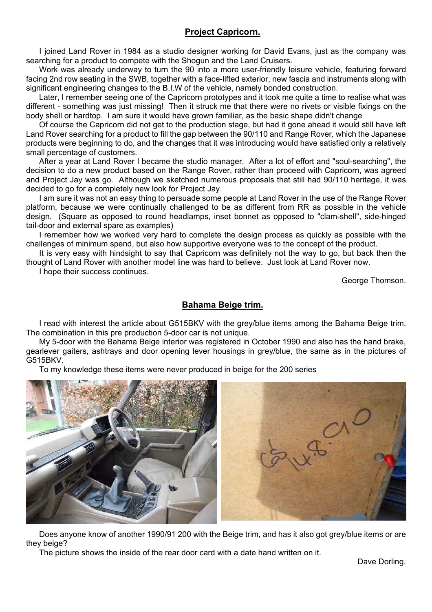## **Project Capricorn.**

I joined Land Rover in 1984 as a studio designer working for David Evans, just as the company was searching for a product to compete with the Shogun and the Land Cruisers.

Work was already underway to turn the 90 into a more user-friendly leisure vehicle, featuring forward facing 2nd row seating in the SWB, together with a face-lifted exterior, new fascia and instruments along with significant engineering changes to the B.I.W of the vehicle, namely bonded construction.

Later, I remember seeing one of the Capricorn prototypes and it took me quite a time to realise what was different - something was just missing! Then it struck me that there were no rivets or visible fixings on the body shell or hardtop. I am sure it would have grown familiar, as the basic shape didn't change

Of course the Capricorn did not get to the production stage, but had it gone ahead it would still have left Land Rover searching for a product to fill the gap between the 90/110 and Range Rover, which the Japanese products were beginning to do, and the changes that it was introducing would have satisfied only a relatively small percentage of customers.

After a year at Land Rover I became the studio manager. After a lot of effort and "soul-searching", the decision to do a new product based on the Range Rover, rather than proceed with Capricorn, was agreed and Project Jay was go. Although we sketched numerous proposals that still had 90/110 heritage, it was decided to go for a completely new look for Project Jay.

I am sure it was not an easy thing to persuade some people at Land Rover in the use of the Range Rover platform, because we were continually challenged to be as different from RR as possible in the vehicle design. (Square as opposed to round headlamps, inset bonnet as opposed to "clam-shell", side-hinged tail-door and external spare as examples)

I remember how we worked very hard to complete the design process as quickly as possible with the challenges of minimum spend, but also how supportive everyone was to the concept of the product.

It is very easy with hindsight to say that Capricorn was definitely not the way to go, but back then the thought of Land Rover with another model line was hard to believe. Just look at Land Rover now.

I hope their success continues.

George Thomson.

## **Bahama Beige trim.**

I read with interest the article about G515BKV with the grey/blue items among the Bahama Beige trim. The combination in this pre production 5-door car is not unique.

My 5-door with the Bahama Beige interior was registered in October 1990 and also has the hand brake, gearlever gaiters, ashtrays and door opening lever housings in grey/blue, the same as in the pictures of G515BKV.

To my knowledge these items were never produced in beige for the 200 series



Does anyone know of another 1990/91 200 with the Beige trim, and has it also got grey/blue items or are they beige?

The picture shows the inside of the rear door card with a date hand written on it.

Dave Dorling.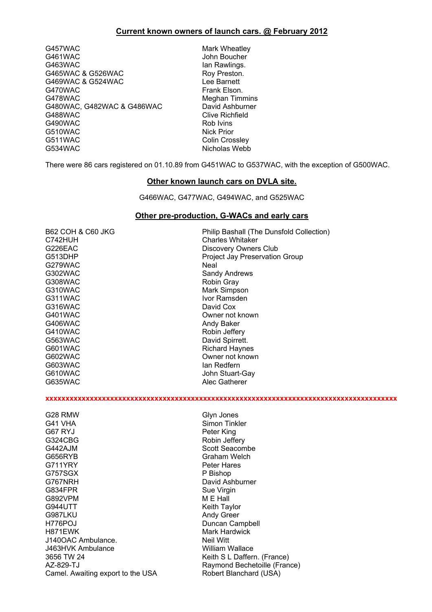#### **Current known owners of launch cars. @ February 2012**

G457WAC Mark Wheatley G461WAC John Boucher G463WAC **Ian Rawlings.** G465WAC & G526WAC Roy Preston. G469WAC & G524WAC Lee Barnett G470WAC Frank Elson. G478WAC Meghan Timmins G480WAC, G482WAC & G486WAC David Ashburner<br>G488WAC Clive Richfield G490WAC G510WAC Nick Prior G511WAC Colin Crossley

Clive Richfield<br>Rob Ivins Nicholas Webb

There were 86 cars registered on 01.10.89 from G451WAC to G537WAC, with the exception of G500WAC.

#### **Other known launch cars on DVLA site.**

G466WAC, G477WAC, G494WAC, and G525WAC

#### **Other pre-production, G-WACs and early cars**

| <b>B62 COH &amp; C60 JKG</b> | Philip Bashall (The Dunsfold Collection)               |
|------------------------------|--------------------------------------------------------|
| C742HUH                      | <b>Charles Whitaker</b>                                |
| G226EAC                      | Discovery Owners Club                                  |
| G513DHP                      | <b>Project Jay Preservation Group</b>                  |
| G279WAC                      | Neal                                                   |
| G302WAC                      | Sandy Andrews                                          |
| G308WAC                      | Robin Gray                                             |
| G310WAC                      | Mark Simpson                                           |
| G311WAC                      | Ivor Ramsden                                           |
| G316WAC                      | David Cox                                              |
| G401WAC                      | Owner not known                                        |
| <b>G406WAC</b>               | Andy Baker                                             |
| G410WAC                      | Robin Jeffery                                          |
| G563WAC                      | David Spirrett.                                        |
| G601WAC                      | <b>Richard Haynes</b>                                  |
| G602WAC                      | Owner not known                                        |
| G603WAC                      | lan Redfern                                            |
| G610WAC                      | John Stuart-Gay                                        |
| G635WAC                      | Alec Gatherer                                          |
|                              |                                                        |
|                              |                                                        |
|                              |                                                        |
| G28 RMW                      | Glyn Jones                                             |
| G41 VHA                      | Simon Tinkler                                          |
| G67 RYJ                      | Peter King                                             |
| G324CBG                      | Robin Jeffery                                          |
| G442AJM                      | <b>Scott Seacombe</b>                                  |
| G656RYB                      | <b>Graham Welch</b>                                    |
| G711YRY                      | <b>Peter Hares</b>                                     |
| G757SGX                      | P Bishop                                               |
| G767NRH                      | David Ashburner                                        |
| G834FPR                      | Sue Virgin                                             |
| G892VPM                      | M E Hall                                               |
| <b>G944UTT</b>               | Keith Taylor                                           |
| G987LKU                      | Andy Greer                                             |
| H776POJ                      | Duncan Campbell                                        |
| H871EWK                      | <b>Mark Hardwick</b>                                   |
| J140OAC Ambulance.           | <b>Neil Witt</b>                                       |
| J463HVK Ambulance            |                                                        |
|                              | <b>William Wallace</b>                                 |
| 3656 TW 24                   | Keith S L Daffern. (France)                            |
| AZ-829-TJ                    | Raymond Bechetoille (France)<br>Robert Blanchard (USA) |